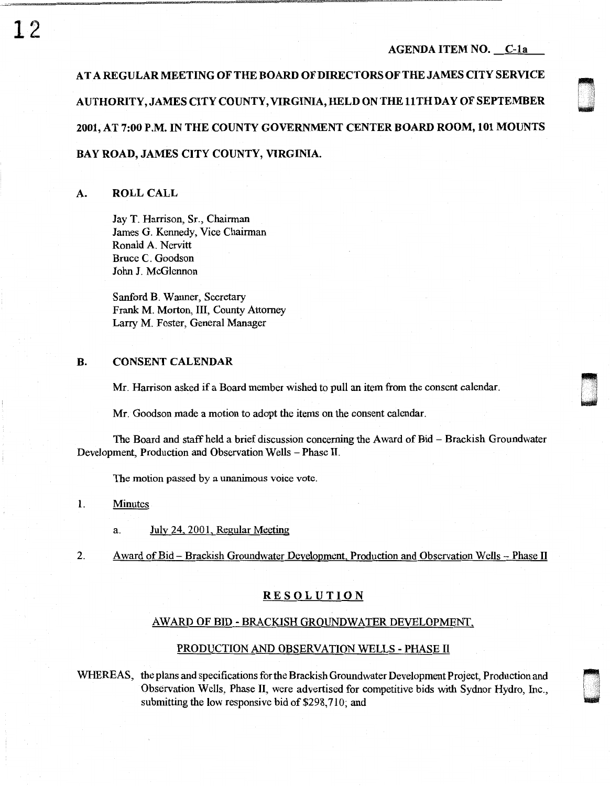' 0

AT A REGULAR MEETING OF THE BOARD OF DIRECTORS OF THE JAMES CITY SERVICE AUTHORITY, JAMES CITY COUNTY, VIRGINIA, HELD ON THE 11 TH DAY OF SEPTEMBER 2001, AT 7:00 P.M. IN THE COUNTY GOVERNMENT CENTER BOARD ROOM, 101 MOUNTS BAY ROAD, JAMES CITY COUNTY, VIRGINIA.

## A. ROLL CALL

Jay T. Harrison, Sr., Chairman James G. Kennedy, Vice Chairman Ronald A. Nervitt Bruce C. Goodson John J. McGlennon

Sanford B. Wanner, Secretary Frank M. Morton, III, County Attorney Larry M. Foster, General Manager

# B. CONSENT CALENDAR

Mr. Harrison asked if a Board member wished to pull an item from the consent calendar.

Mr. Goodson made a motion to adopt the items on the consent calendar.

The Board and staff held a brief discussion concerning the Award of Bid - Brackish Groundwater Development, Production and Observation Wells - Phase II.

The motion passed by a unanimous voice vote.

1. Minutes

a. July 24, 2001, Regular Meeting

2. Award of Bid – Brackish Groundwater Development, Production and Observation Wells – Phase II

## RESOLUTION

#### AW ARD OF BID - BRACKISH GROUNDWATER DEVELOPMENT,

#### PRODUCTION AND OBSERVATION WELLS - PHASE II

WHEREAS, the plans and specifications for the Brackish Groundwater Development Project, Production and Observation Wells, Phase II, were advertised for competitive bids with Sydnor Hydro, Inc., U. submitting the low responsive bid of \$298,710; and